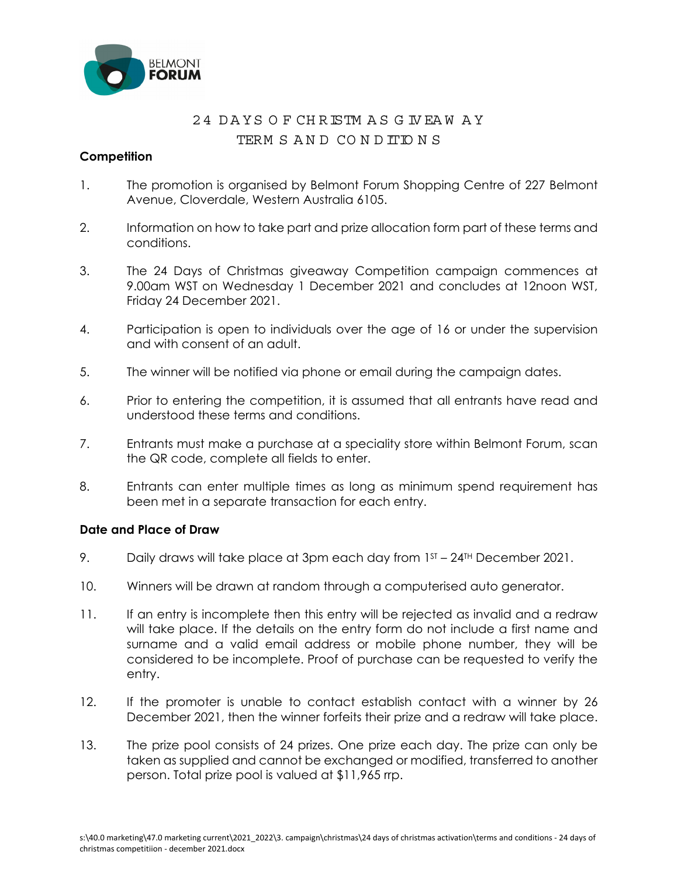

## 24 D A YS O F CH RISTM A S G IV EA W A Y

## TERM S AN D CO N DITIO N S

## **Competition**

- 1. The promotion is organised by Belmont Forum Shopping Centre of 227 Belmont Avenue, Cloverdale, Western Australia 6105.
- 2. Information on how to take part and prize allocation form part of these terms and conditions.
- 3. The 24 Days of Christmas giveaway Competition campaign commences at 9.00am WST on Wednesday 1 December 2021 and concludes at 12noon WST, Friday 24 December 2021.
- 4. Participation is open to individuals over the age of 16 or under the supervision and with consent of an adult.
- 5. The winner will be notified via phone or email during the campaign dates.
- 6. Prior to entering the competition, it is assumed that all entrants have read and understood these terms and conditions.
- 7. Entrants must make a purchase at a speciality store within Belmont Forum, scan the QR code, complete all fields to enter.
- 8. Entrants can enter multiple times as long as minimum spend requirement has been met in a separate transaction for each entry.

## **Date and Place of Draw**

- 9. Daily draws will take place at 3pm each day from  $1<sup>ST</sup> 24<sup>TH</sup>$  December 2021.
- 10. Winners will be drawn at random through a computerised auto generator.
- 11. If an entry is incomplete then this entry will be rejected as invalid and a redraw will take place. If the details on the entry form do not include a first name and surname and a valid email address or mobile phone number, they will be considered to be incomplete. Proof of purchase can be requested to verify the entry.
- 12. If the promoter is unable to contact establish contact with a winner by 26 December 2021, then the winner forfeits their prize and a redraw will take place.
- 13. The prize pool consists of 24 prizes. One prize each day. The prize can only be taken as supplied and cannot be exchanged or modified, transferred to another person. Total prize pool is valued at \$11,965 rrp.